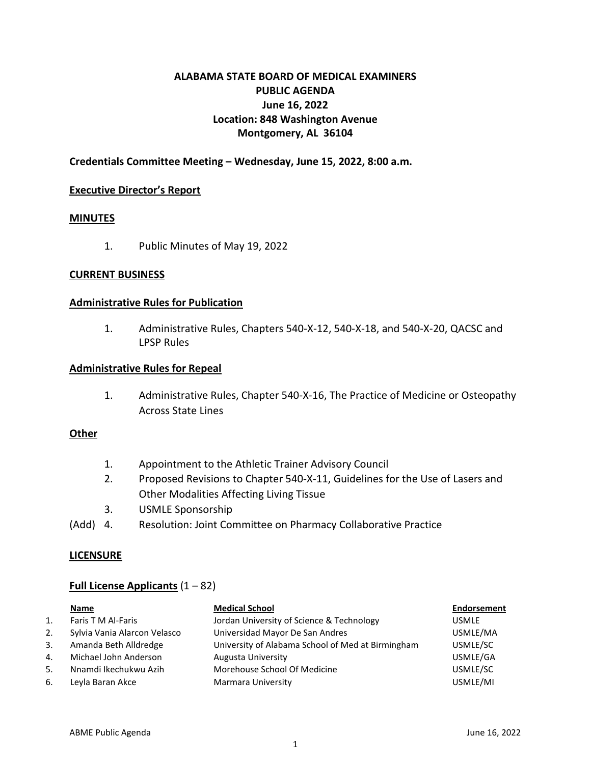# **ALABAMA STATE BOARD OF MEDICAL EXAMINERS PUBLIC AGENDA June 16, 2022 Location: 848 Washington Avenue Montgomery, AL 36104**

## **Credentials Committee Meeting – Wednesday, June 15, 2022, 8:00 a.m.**

#### **Executive Director's Report**

## **MINUTES**

1. Public Minutes of May 19, 2022

#### **CURRENT BUSINESS**

#### **Administrative Rules for Publication**

1. Administrative Rules, Chapters 540-X-12, 540-X-18, and 540-X-20, QACSC and LPSP Rules

#### **Administrative Rules for Repeal**

1. Administrative Rules, Chapter 540-X-16, The Practice of Medicine or Osteopathy Across State Lines

### **Other**

- 1. Appointment to the Athletic Trainer Advisory Council
- 2. Proposed Revisions to Chapter 540-X-11, Guidelines for the Use of Lasers and Other Modalities Affecting Living Tissue
- 3. USMLE Sponsorship
- (Add) 4. Resolution: Joint Committee on Pharmacy Collaborative Practice

## **LICENSURE**

## **Full License Applicants** (1 – 82)

|    | Name                         | <b>Medical School</b>                             | Endorsement  |
|----|------------------------------|---------------------------------------------------|--------------|
| 1. | Faris T M Al-Faris           | Jordan University of Science & Technology         | <b>USMLE</b> |
| 2. | Sylvia Vania Alarcon Velasco | Universidad Mayor De San Andres                   | USMLE/MA     |
| 3. | Amanda Beth Alldredge        | University of Alabama School of Med at Birmingham | USMLE/SC     |
| 4. | Michael John Anderson        | Augusta University                                | USMLE/GA     |
| 5. | Nnamdi Ikechukwu Azih        | Morehouse School Of Medicine                      | USMLE/SC     |
| 6. | Leyla Baran Akce             | Marmara University                                | USMLE/MI     |
|    |                              |                                                   |              |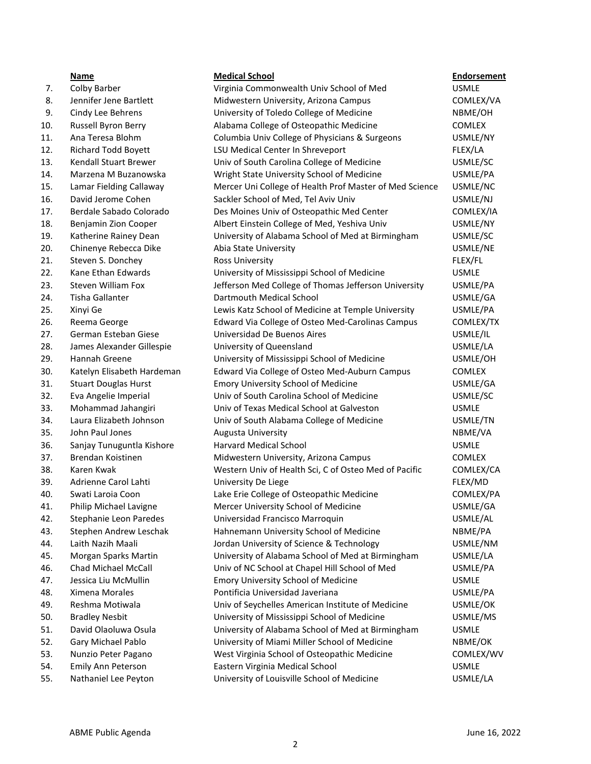## 7. Colby Barber **The Collact Commonwealth Univ School of Med** USMLE 8. Jennifer Jene Bartlett Midwestern University, Arizona Campus COMLEX/VA 9. Cindy Lee Behrens **College of Medicine** Cindy Lee Behrens College of Medicine NBME/OH 10. Russell Byron Berry Alabama College of Osteopathic Medicine COMLEX 11. Ana Teresa Blohm Columbia Univ College of Physicians & Surgeons USMLE/NY 12. Richard Todd Boyett LSU Medical Center In Shreveport FLEX/LA 13. Kendall Stuart Brewer Univ of South Carolina College of Medicine USMLE/SC 14. Marzena M Buzanowska Wright State University School of Medicine USMLE/PA 15. Lamar Fielding Callaway Mercer Uni College of Health Prof Master of Med Science USMLE/NC 16. David Jerome Cohen Sackler School of Med, Tel Aviv Univ Univ USMLE/NJ 17. Berdale Sabado Colorado Des Moines Univ of Osteopathic Med Center COMLEX/IA 18. Benjamin Zion Cooper Albert Einstein College of Med, Yeshiva Univ USMLE/NY 19. Katherine Rainey Dean University of Alabama School of Med at Birmingham USMLE/SC 20. Chinenye Rebecca Dike Abia State University Changes Abia State University Changes Abia State University Changes Abia State University Changes Abia State University Changes Abia State University Changes Abia State Unive 21. Steven S. Donchey **Ross University** FLEX/FL 22. Kane Ethan Edwards University of Mississippi School of Medicine USMLE 23. Steven William Fox Jefferson Med College of Thomas Jefferson University USMLE/PA 24. Tisha Gallanter Dartmouth Medical School USMLE/GA 25. Xinyi Ge Lewis Katz School of Medicine at Temple University USMLE/PA 26. Reema George Edward Via College of Osteo Med-Carolinas Campus COMLEX/TX 27. German Esteban Giese Universidad De Buenos Aires USMLE/IL 28. James Alexander Gillespie buiters University of Queensland Communication COSMLE/LA 29. Hannah Greene University of Mississippi School of Medicine USMLE/OH 30. Katelyn Elisabeth Hardeman Edward Via College of Osteo Med-Auburn Campus COMLEX 31. Stuart Douglas Hurst Emory University School of Medicine USMLE/GA 32. Eva Angelie Imperial Univ of South Carolina School of Medicine USMLE/SC 33. Mohammad Jahangiri Univ of Texas Medical School at Galveston USMLE 34. Laura Elizabeth Johnson Univ of South Alabama College of Medicine USMLE/TN 35. John Paul Jones **Augusta University** NBME/VA NBME/VA 36. Sanjay Tunuguntla Kishore Harvard Medical School USMLE 37. Brendan Koistinen The Midwestern University, Arizona Campus COMLEX 38. Karen Kwak Western Univ of Health Sci, C of Osteo Med of Pacific COMLEX/CA 39. Adrienne Carol Lahti University De Liege FLEX/MD 40. Swati Laroia Coon Lake Erie College of Osteopathic Medicine COMLEX/PA 41. Philip Michael Lavigne Mercer University School of Medicine Theorem COSMLE/GA 42. Stephanie Leon Paredes Universidad Francisco Marroquin USMLE/AL 43. Stephen Andrew Leschak Hahnemann University School of Medicine NBME/PA 44. Laith Nazih Maali Jordan University of Science & Technology USMLE/NM 45. Morgan Sparks Martin University of Alabama School of Med at Birmingham USMLE/LA 46. Chad Michael McCall Univ of NC School at Chapel Hill School of Med USMLE/PA

- 
- 
- 
- 
- 
- 
- 
- 

|     | <b>Name</b>                 | <b>Medical School</b>                                   | <b>Endorsement</b> |
|-----|-----------------------------|---------------------------------------------------------|--------------------|
| 7.  | Colby Barber                | Virginia Commonwealth Univ School of Med                | <b>USMLE</b>       |
| 8.  | Jennifer Jene Bartlett      | Midwestern University, Arizona Campus                   | COMLEX/VA          |
| 9.  | Cindy Lee Behrens           | University of Toledo College of Medicine                | NBME/OH            |
| 10. | Russell Byron Berry         | Alabama College of Osteopathic Medicine                 | COMLEX             |
| 11. | Ana Teresa Blohm            | Columbia Univ College of Physicians & Surgeons          | USMLE/NY           |
| 12. | Richard Todd Boyett         | LSU Medical Center In Shreveport                        | FLEX/LA            |
| 13. | Kendall Stuart Brewer       | Univ of South Carolina College of Medicine              | USMLE/SC           |
| 14. | Marzena M Buzanowska        | Wright State University School of Medicine              | USMLE/PA           |
| 15. | Lamar Fielding Callaway     | Mercer Uni College of Health Prof Master of Med Science | USMLE/NC           |
| 16. | David Jerome Cohen          | Sackler School of Med, Tel Aviv Univ                    | USMLE/NJ           |
| 17. | Berdale Sabado Colorado     | Des Moines Univ of Osteopathic Med Center               | COMLEX/IA          |
| 18. | Benjamin Zion Cooper        | Albert Einstein College of Med, Yeshiva Univ            | USMLE/NY           |
| 19. | Katherine Rainey Dean       | University of Alabama School of Med at Birmingham       | USMLE/SC           |
| 20. | Chinenye Rebecca Dike       | Abia State University                                   | USMLE/NE           |
| 21. | Steven S. Donchey           | <b>Ross University</b>                                  | FLEX/FL            |
| 22. | Kane Ethan Edwards          | University of Mississippi School of Medicine            | <b>USMLE</b>       |
| 23. | <b>Steven William Fox</b>   | Jefferson Med College of Thomas Jefferson University    | USMLE/PA           |
| 24. | Tisha Gallanter             | Dartmouth Medical School                                | USMLE/GA           |
| 25. | Xinyi Ge                    | Lewis Katz School of Medicine at Temple University      | USMLE/PA           |
| 26. | Reema George                | Edward Via College of Osteo Med-Carolinas Campus        | COMLEX/TX          |
| 27. | German Esteban Giese        | Universidad De Buenos Aires                             | USMLE/IL           |
| 28. | James Alexander Gillespie   | University of Queensland                                | USMLE/LA           |
| 29. | Hannah Greene               | University of Mississippi School of Medicine            | USMLE/OH           |
| 30. | Katelyn Elisabeth Hardeman  | Edward Via College of Osteo Med-Auburn Campus           | <b>COMLEX</b>      |
| 31. | <b>Stuart Douglas Hurst</b> | Emory University School of Medicine                     | USMLE/GA           |
| 32. | Eva Angelie Imperial        | Univ of South Carolina School of Medicine               | USMLE/SC           |
| 33. | Mohammad Jahangiri          | Univ of Texas Medical School at Galveston               | <b>USMLE</b>       |
| 34. | Laura Elizabeth Johnson     | Univ of South Alabama College of Medicine               | USMLE/TN           |
| 35. | John Paul Jones             | Augusta University                                      | NBME/VA            |
| 36. | Sanjay Tunuguntla Kishore   | <b>Harvard Medical School</b>                           | <b>USMLE</b>       |
| 37. | Brendan Koistinen           | Midwestern University, Arizona Campus                   | <b>COMLEX</b>      |
| 38. | Karen Kwak                  | Western Univ of Health Sci, C of Osteo Med of Pacific   | COMLEX/CA          |
| 39. | Adrienne Carol Lahti        | University De Liege                                     | FLEX/MD            |
| 40. | Swati Laroia Coon           | Lake Erie College of Osteopathic Medicine               | COMLEX/PA          |
| 41. | Philip Michael Lavigne      | Mercer University School of Medicine                    | USMLE/GA           |
| 42. | Stephanie Leon Paredes      | Universidad Francisco Marroquin                         | USMLE/AL           |
| 43. | Stephen Andrew Leschak      | Hahnemann University School of Medicine                 | NBME/PA            |
| 44. | Laith Nazih Maali           | Jordan University of Science & Technology               | USMLE/NM           |
| 45. | Morgan Sparks Martin        | University of Alabama School of Med at Birmingham       | USMLE/LA           |
| 46. | Chad Michael McCall         | Univ of NC School at Chapel Hill School of Med          | USMLE/PA           |
| 47. | Jessica Liu McMullin        | Emory University School of Medicine                     | <b>USMLE</b>       |
| 48. | Ximena Morales              | Pontificia Universidad Javeriana                        | USMLE/PA           |
| 49. | Reshma Motiwala             | Univ of Seychelles American Institute of Medicine       | USMLE/OK           |
| 50. | <b>Bradley Nesbit</b>       | University of Mississippi School of Medicine            | USMLE/MS           |
| 51. | David Olaoluwa Osula        | University of Alabama School of Med at Birmingham       | <b>USMLE</b>       |
| 52. | Gary Michael Pablo          | University of Miami Miller School of Medicine           | NBME/OK            |
| 53. | Nunzio Peter Pagano         | West Virginia School of Osteopathic Medicine            | COMLEX/WV          |
| 54. | Emily Ann Peterson          | Eastern Virginia Medical School                         | <b>USMLE</b>       |
| 55. | Nathaniel Lee Peyton        | University of Louisville School of Medicine             | USMLE/LA           |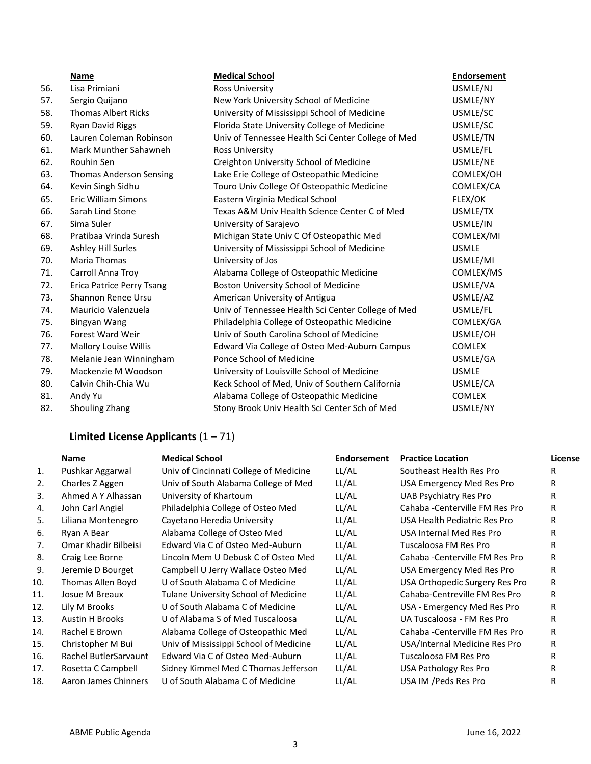|     | Name                             | <b>Medical School</b>                              | <b>Endorsement</b> |
|-----|----------------------------------|----------------------------------------------------|--------------------|
| 56. | Lisa Primiani                    | Ross University                                    | USMLE/NJ           |
| 57. | Sergio Quijano                   | New York University School of Medicine             | USMLE/NY           |
| 58. | <b>Thomas Albert Ricks</b>       | University of Mississippi School of Medicine       | USMLE/SC           |
| 59. | <b>Ryan David Riggs</b>          | Florida State University College of Medicine       | USMLE/SC           |
| 60. | Lauren Coleman Robinson          | Univ of Tennessee Health Sci Center College of Med | USMLE/TN           |
| 61. | Mark Munther Sahawneh            | Ross University                                    | USMLE/FL           |
| 62. | Rouhin Sen                       | Creighton University School of Medicine            | USMLE/NE           |
| 63. | <b>Thomas Anderson Sensing</b>   | Lake Erie College of Osteopathic Medicine          | COMLEX/OH          |
| 64. | Kevin Singh Sidhu                | Touro Univ College Of Osteopathic Medicine         | COMLEX/CA          |
| 65. | <b>Eric William Simons</b>       | Eastern Virginia Medical School                    | FLEX/OK            |
| 66. | Sarah Lind Stone                 | Texas A&M Univ Health Science Center C of Med      | USMLE/TX           |
| 67. | Sima Suler                       | University of Sarajevo                             | USMLE/IN           |
| 68. | Pratibaa Vrinda Suresh           | Michigan State Univ C Of Osteopathic Med           | COMLEX/MI          |
| 69. | Ashley Hill Surles               | University of Mississippi School of Medicine       | <b>USMLE</b>       |
| 70. | <b>Maria Thomas</b>              | University of Jos                                  | USMLE/MI           |
| 71. | Carroll Anna Troy                | Alabama College of Osteopathic Medicine            | COMLEX/MS          |
| 72. | <b>Erica Patrice Perry Tsang</b> | Boston University School of Medicine               | USMLE/VA           |
| 73. | Shannon Renee Ursu               | American University of Antigua                     | USMLE/AZ           |
| 74. | Mauricio Valenzuela              | Univ of Tennessee Health Sci Center College of Med | USMLE/FL           |
| 75. | Bingyan Wang                     | Philadelphia College of Osteopathic Medicine       | COMLEX/GA          |
| 76. | Forest Ward Weir                 | Univ of South Carolina School of Medicine          | USMLE/OH           |
| 77. | <b>Mallory Louise Willis</b>     | Edward Via College of Osteo Med-Auburn Campus      | <b>COMLEX</b>      |
| 78. | Melanie Jean Winningham          | Ponce School of Medicine                           | USMLE/GA           |
| 79. | Mackenzie M Woodson              | University of Louisville School of Medicine        | <b>USMLE</b>       |
| 80. | Calvin Chih-Chia Wu              | Keck School of Med, Univ of Southern California    | USMLE/CA           |
| 81. | Andy Yu                          | Alabama College of Osteopathic Medicine            | <b>COMLEX</b>      |
| 82. | Shouling Zhang                   | Stony Brook Univ Health Sci Center Sch of Med      | USMLE/NY           |

# **Limited License Applicants** (1 – 71)

|     | <b>Name</b>            | <b>Medical School</b>                       | <b>Endorsement</b> | <b>Practice Location</b>        | License |
|-----|------------------------|---------------------------------------------|--------------------|---------------------------------|---------|
| 1.  | Pushkar Aggarwal       | Univ of Cincinnati College of Medicine      | LL/AL              | Southeast Health Res Pro        | R       |
| 2.  | Charles Z Aggen        | Univ of South Alabama College of Med        | LL/AL              | USA Emergency Med Res Pro       | R       |
| 3.  | Ahmed A Y Alhassan     | University of Khartoum                      | LL/AL              | <b>UAB Psychiatry Res Pro</b>   | R       |
| 4.  | John Carl Angiel       | Philadelphia College of Osteo Med           | LL/AL              | Cahaba - Centerville FM Res Pro | R       |
| 5.  | Liliana Montenegro     | Cayetano Heredia University                 | LL/AL              | USA Health Pediatric Res Pro    | R       |
| 6.  | Ryan A Bear            | Alabama College of Osteo Med                | LL/AL              | USA Internal Med Res Pro        | R       |
| 7.  | Omar Khadir Bilbeisi   | Edward Via C of Osteo Med-Auburn            | LL/AL              | Tuscaloosa FM Res Pro           | R       |
| 8.  | Craig Lee Borne        | Lincoln Mem U Debusk C of Osteo Med         | LL/AL              | Cahaba - Centerville FM Res Pro | R.      |
| 9.  | Jeremie D Bourget      | Campbell U Jerry Wallace Osteo Med          | LL/AL              | USA Emergency Med Res Pro       | R       |
| 10. | Thomas Allen Boyd      | U of South Alabama C of Medicine            | LL/AL              | USA Orthopedic Surgery Res Pro  | R       |
| 11. | Josue M Breaux         | <b>Tulane University School of Medicine</b> | LL/AL              | Cahaba-Centreville FM Res Pro   | R       |
| 12. | Lily M Brooks          | U of South Alabama C of Medicine            | LL/AL              | USA - Emergency Med Res Pro     | R       |
| 13. | <b>Austin H Brooks</b> | U of Alabama S of Med Tuscaloosa            | LL/AL              | UA Tuscaloosa - FM Res Pro      | R       |
| 14. | Rachel E Brown         | Alabama College of Osteopathic Med          | LL/AL              | Cahaba - Centerville FM Res Pro | R.      |
| 15. | Christopher M Bui      | Univ of Mississippi School of Medicine      | LL/AL              | USA/Internal Medicine Res Pro   | R.      |
| 16. | Rachel ButlerSarvaunt  | Edward Via C of Osteo Med-Auburn            | LL/AL              | Tuscaloosa FM Res Pro           | R       |
| 17. | Rosetta C Campbell     | Sidney Kimmel Med C Thomas Jefferson        | LL/AL              | USA Pathology Res Pro           | R       |
| 18. | Aaron James Chinners   | U of South Alabama C of Medicine            | LL/AL              | USA IM /Peds Res Pro            | R       |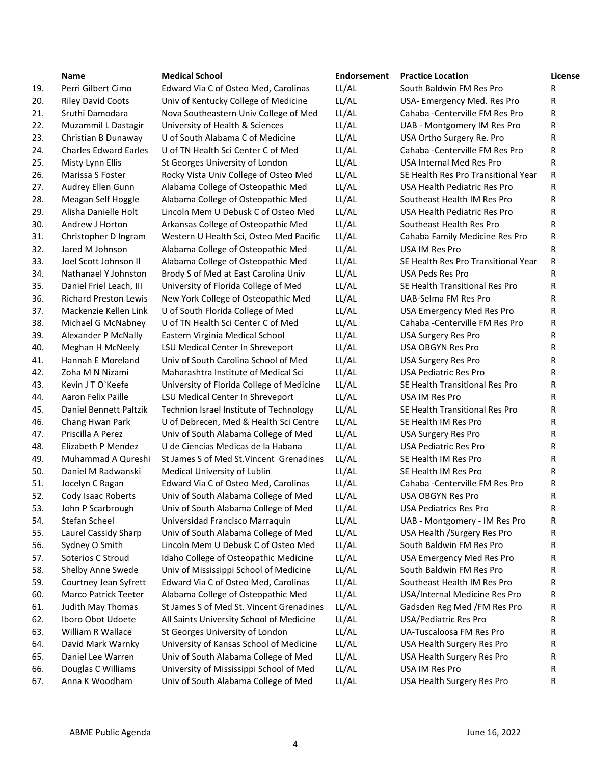|     | <b>Name</b>                  | <b>Medical School</b>                     | <b>Endorsement</b> | <b>Practice Location</b>            | License |
|-----|------------------------------|-------------------------------------------|--------------------|-------------------------------------|---------|
| 19. | Perri Gilbert Cimo           | Edward Via C of Osteo Med, Carolinas      | LL/AL              | South Baldwin FM Res Pro            | R       |
| 20. | <b>Riley David Coots</b>     | Univ of Kentucky College of Medicine      | LL/AL              | USA- Emergency Med. Res Pro         | R       |
| 21. | Sruthi Damodara              | Nova Southeastern Univ College of Med     | LL/AL              | Cahaba - Centerville FM Res Pro     | R       |
| 22. | Muzammil L Dastagir          | University of Health & Sciences           | LL/AL              | UAB - Montgomery IM Res Pro         | R       |
| 23. | Christian B Dunaway          | U of South Alabama C of Medicine          | LL/AL              | USA Ortho Surgery Re. Pro           | R       |
| 24. | <b>Charles Edward Earles</b> | U of TN Health Sci Center C of Med        | LL/AL              | Cahaba - Centerville FM Res Pro     | R       |
| 25. | Misty Lynn Ellis             | St Georges University of London           | LL/AL              | USA Internal Med Res Pro            | R       |
| 26. | Marissa S Foster             | Rocky Vista Univ College of Osteo Med     | LL/AL              | SE Health Res Pro Transitional Year | R       |
| 27. | Audrey Ellen Gunn            | Alabama College of Osteopathic Med        | LL/AL              | USA Health Pediatric Res Pro        | R       |
| 28. | Meagan Self Hoggle           | Alabama College of Osteopathic Med        | LL/AL              | Southeast Health IM Res Pro         | R       |
| 29. | Alisha Danielle Holt         | Lincoln Mem U Debusk C of Osteo Med       | LL/AL              | USA Health Pediatric Res Pro        | R       |
| 30. | Andrew J Horton              | Arkansas College of Osteopathic Med       | LL/AL              | Southeast Health Res Pro            | R       |
| 31. | Christopher D Ingram         | Western U Health Sci, Osteo Med Pacific   | LL/AL              | Cahaba Family Medicine Res Pro      | R       |
| 32. | Jared M Johnson              | Alabama College of Osteopathic Med        | LL/AL              | USA IM Res Pro                      | R       |
| 33. | Joel Scott Johnson II        | Alabama College of Osteopathic Med        | LL/AL              | SE Health Res Pro Transitional Year | R       |
| 34. | Nathanael Y Johnston         | Brody S of Med at East Carolina Univ      | LL/AL              | USA Peds Res Pro                    | R       |
| 35. | Daniel Friel Leach, III      | University of Florida College of Med      | LL/AL              | SE Health Transitional Res Pro      | R       |
| 36. | <b>Richard Preston Lewis</b> | New York College of Osteopathic Med       | LL/AL              | UAB-Selma FM Res Pro                | R       |
| 37. | Mackenzie Kellen Link        | U of South Florida College of Med         | LL/AL              | USA Emergency Med Res Pro           | R       |
| 38. | Michael G McNabney           | U of TN Health Sci Center C of Med        | LL/AL              | Cahaba - Centerville FM Res Pro     | R       |
| 39. | Alexander P McNally          | Eastern Virginia Medical School           | LL/AL              | <b>USA Surgery Res Pro</b>          | R       |
| 40. | Meghan H McNeely             | LSU Medical Center In Shreveport          | LL/AL              | USA OBGYN Res Pro                   | R       |
| 41. | Hannah E Moreland            | Univ of South Carolina School of Med      | LL/AL              | <b>USA Surgery Res Pro</b>          | R       |
| 42. | Zoha M N Nizami              | Maharashtra Institute of Medical Sci      | LL/AL              | <b>USA Pediatric Res Pro</b>        | R       |
| 43. | Kevin J T O'Keefe            | University of Florida College of Medicine | LL/AL              | SE Health Transitional Res Pro      | R       |
| 44. | Aaron Felix Paille           | LSU Medical Center In Shreveport          | LL/AL              | USA IM Res Pro                      | R       |
| 45. | Daniel Bennett Paltzik       | Technion Israel Institute of Technology   | LL/AL              | SE Health Transitional Res Pro      | R       |
| 46. | Chang Hwan Park              | U of Debrecen, Med & Health Sci Centre    | LL/AL              | SE Health IM Res Pro                | R       |
| 47. | Priscilla A Perez            | Univ of South Alabama College of Med      | LL/AL              | <b>USA Surgery Res Pro</b>          | R       |
| 48. | Elizabeth P Mendez           | U de Ciencias Medicas de la Habana        | LL/AL              | <b>USA Pediatric Res Pro</b>        | R       |
| 49. | Muhammad A Qureshi           | St James S of Med St. Vincent Grenadines  | LL/AL              | SE Health IM Res Pro                | R       |
| 50. | Daniel M Radwanski           | Medical University of Lublin              | LL/AL              | SE Health IM Res Pro                | R       |
| 51. | Jocelyn C Ragan              | Edward Via C of Osteo Med, Carolinas      | LL/AL              | Cahaba - Centerville FM Res Pro     | R       |
| 52. | Cody Isaac Roberts           | Univ of South Alabama College of Med      | LL/AL              | USA OBGYN Res Pro                   | R       |
| 53. | John P Scarbrough            | Univ of South Alabama College of Med      | LL/AL              | <b>USA Pediatrics Res Pro</b>       | R       |
| 54. | Stefan Scheel                | Universidad Francisco Marraquin           | LL/AL              | UAB - Montgomery - IM Res Pro       | R       |
| 55. | Laurel Cassidy Sharp         | Univ of South Alabama College of Med      | LL/AL              | USA Health / Surgery Res Pro        | R       |
| 56. | Sydney O Smith               | Lincoln Mem U Debusk C of Osteo Med       | LL/AL              | South Baldwin FM Res Pro            | R       |
| 57. | Soterios C Stroud            | Idaho College of Osteopathic Medicine     | LL/AL              | USA Emergency Med Res Pro           | R       |
| 58. | Shelby Anne Swede            | Univ of Mississippi School of Medicine    | LL/AL              | South Baldwin FM Res Pro            | R       |
| 59. | Courtney Jean Syfrett        | Edward Via C of Osteo Med, Carolinas      | LL/AL              | Southeast Health IM Res Pro         | R       |
| 60. | Marco Patrick Teeter         | Alabama College of Osteopathic Med        | LL/AL              | USA/Internal Medicine Res Pro       | R       |
| 61. | Judith May Thomas            | St James S of Med St. Vincent Grenadines  | LL/AL              | Gadsden Reg Med /FM Res Pro         | R       |
| 62. | Iboro Obot Udoete            | All Saints University School of Medicine  | LL/AL              | <b>USA/Pediatric Res Pro</b>        | R       |
| 63. | William R Wallace            | St Georges University of London           | LL/AL              | UA-Tuscaloosa FM Res Pro            | R       |
| 64. | David Mark Warnky            | University of Kansas School of Medicine   | LL/AL              | USA Health Surgery Res Pro          | R       |
| 65. | Daniel Lee Warren            | Univ of South Alabama College of Med      | LL/AL              | USA Health Surgery Res Pro          | R       |
| 66. | Douglas C Williams           | University of Mississippi School of Med   | LL/AL              | USA IM Res Pro                      | R       |
| 67. | Anna K Woodham               | Univ of South Alabama College of Med      | LL/AL              | USA Health Surgery Res Pro          | R       |
|     |                              |                                           |                    |                                     |         |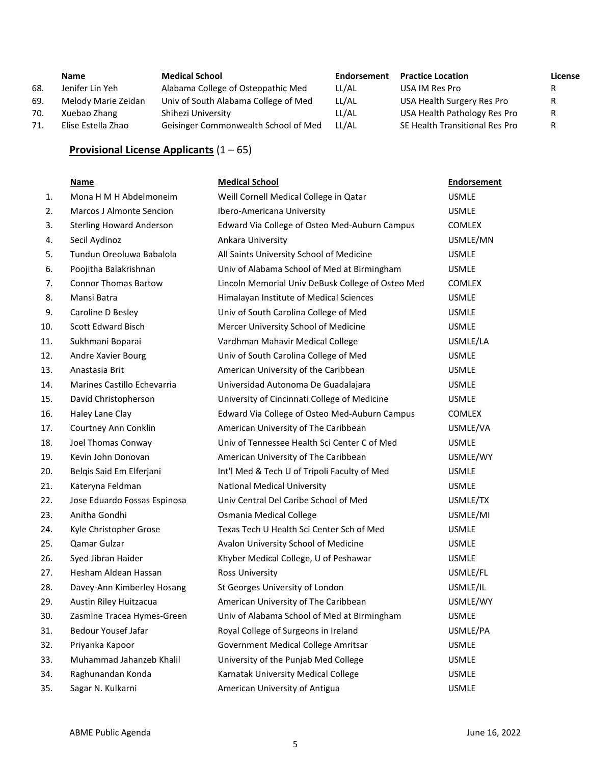|     | <b>Name</b>         | <b>Medical School</b>                | Endorsement | <b>Practice Location</b>       | License |
|-----|---------------------|--------------------------------------|-------------|--------------------------------|---------|
| 68. | Jenifer Lin Yeh     | Alabama College of Osteopathic Med   | LL/AL       | USA IM Res Pro                 |         |
| 69. | Melody Marie Zeidan | Univ of South Alabama College of Med | LL/AL       | USA Health Surgery Res Pro     |         |
| 70. | Xuebao Zhang        | Shihezi University                   | LL/AL       | USA Health Pathology Res Pro   | R       |
| 71. | Elise Estella Zhao  | Geisinger Commonwealth School of Med | LL/AL       | SE Health Transitional Res Pro |         |

# **Provisional License Applicants** (1 – 65)

|     | <b>Name</b>                     | <b>Medical School</b>                             | <b>Endorsement</b> |
|-----|---------------------------------|---------------------------------------------------|--------------------|
| 1.  | Mona H M H Abdelmoneim          | Weill Cornell Medical College in Qatar            | <b>USMLE</b>       |
| 2.  | <b>Marcos J Almonte Sencion</b> | Ibero-Americana University                        | <b>USMLE</b>       |
| 3.  | <b>Sterling Howard Anderson</b> | Edward Via College of Osteo Med-Auburn Campus     | <b>COMLEX</b>      |
| 4.  | Secil Aydinoz                   | Ankara University                                 | USMLE/MN           |
| 5.  | Tundun Oreoluwa Babalola        | All Saints University School of Medicine          | <b>USMLE</b>       |
| 6.  | Poojitha Balakrishnan           | Univ of Alabama School of Med at Birmingham       | <b>USMLE</b>       |
| 7.  | <b>Connor Thomas Bartow</b>     | Lincoln Memorial Univ DeBusk College of Osteo Med | <b>COMLEX</b>      |
| 8.  | Mansi Batra                     | Himalayan Institute of Medical Sciences           | <b>USMLE</b>       |
| 9.  | Caroline D Besley               | Univ of South Carolina College of Med             | <b>USMLE</b>       |
| 10. | Scott Edward Bisch              | Mercer University School of Medicine              | <b>USMLE</b>       |
| 11. | Sukhmani Boparai                | Vardhman Mahavir Medical College                  | USMLE/LA           |
| 12. | Andre Xavier Bourg              | Univ of South Carolina College of Med             | <b>USMLE</b>       |
| 13. | Anastasia Brit                  | American University of the Caribbean              | <b>USMLE</b>       |
| 14. | Marines Castillo Echevarria     | Universidad Autonoma De Guadalajara               | <b>USMLE</b>       |
| 15. | David Christopherson            | University of Cincinnati College of Medicine      | <b>USMLE</b>       |
| 16. | Haley Lane Clay                 | Edward Via College of Osteo Med-Auburn Campus     | <b>COMLEX</b>      |
| 17. | Courtney Ann Conklin            | American University of The Caribbean              | USMLE/VA           |
| 18. | Joel Thomas Conway              | Univ of Tennessee Health Sci Center C of Med      | <b>USMLE</b>       |
| 19. | Kevin John Donovan              | American University of The Caribbean              | USMLE/WY           |
| 20. | Belqis Said Em Elferjani        | Int'l Med & Tech U of Tripoli Faculty of Med      | <b>USMLE</b>       |
| 21. | Kateryna Feldman                | <b>National Medical University</b>                | <b>USMLE</b>       |
| 22. | Jose Eduardo Fossas Espinosa    | Univ Central Del Caribe School of Med             | USMLE/TX           |
| 23. | Anitha Gondhi                   | Osmania Medical College                           | USMLE/MI           |
| 24. | Kyle Christopher Grose          | Texas Tech U Health Sci Center Sch of Med         | <b>USMLE</b>       |
| 25. | Qamar Gulzar                    | Avalon University School of Medicine              | <b>USMLE</b>       |
| 26. | Syed Jibran Haider              | Khyber Medical College, U of Peshawar             | <b>USMLE</b>       |
| 27. | Hesham Aldean Hassan            | Ross University                                   | USMLE/FL           |
| 28. | Davey-Ann Kimberley Hosang      | St Georges University of London                   | USMLE/IL           |
| 29. | Austin Riley Huitzacua          | American University of The Caribbean              | USMLE/WY           |
| 30. | Zasmine Tracea Hymes-Green      | Univ of Alabama School of Med at Birmingham       | <b>USMLE</b>       |
| 31. | <b>Bedour Yousef Jafar</b>      | Royal College of Surgeons in Ireland              | USMLE/PA           |
| 32. | Priyanka Kapoor                 | Government Medical College Amritsar               | <b>USMLE</b>       |
| 33. | Muhammad Jahanzeb Khalil        | University of the Punjab Med College              | <b>USMLE</b>       |
| 34. | Raghunandan Konda               | Karnatak University Medical College               | <b>USMLE</b>       |
| 35. | Sagar N. Kulkarni               | American University of Antigua                    | <b>USMLE</b>       |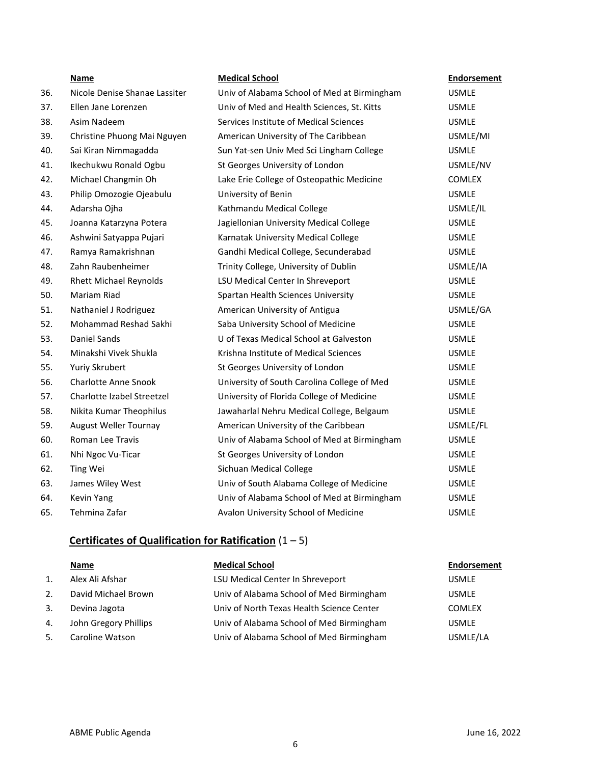- 36. Nicole Denise S
- 37. Ellen Jane Lorenzen
- 38. Asim Nadeem
- 
- 40. Sai Kiran Nimm
- 41. Ikechukwu Ron
- 42. Michael Change
- 43. Philip Omozogi
- 44. Adarsha Ojha
- 45. Joanna Katarzy
- 46. Ashwini Satyap
- 47. Ramya Ramakr
- 48. Zahn Raubenhe
- 49. Rhett Michael
- 
- 51. Nathaniel J Rod
- 52. Mohammad Re
- 
- 54. Minakshi Vivek
- 55. Yuriy Skrubert
- 56. Charlotte Anne
- 57. Charlotte Izabe
- 58. Nikita Kumar Theophilus Jawaharlal Negati
- 59. August Weller
- 60. Roman Lee Tra
- 61. Nhi Ngoc Vu-Ti
- 
- 63. James Wiley W
- 
- 65. Tehmina Zafar

# **Name Medical School Endorsement**

| 36. | Nicole Denise Shanae Lassiter | Univ of Alabama School of Med at Birmingham | <b>USMLE</b>  |
|-----|-------------------------------|---------------------------------------------|---------------|
| 37. | Ellen Jane Lorenzen           | Univ of Med and Health Sciences, St. Kitts  | <b>USMLE</b>  |
| 38. | Asim Nadeem                   | Services Institute of Medical Sciences      | <b>USMLE</b>  |
| 39. | Christine Phuong Mai Nguyen   | American University of The Caribbean        | USMLE/MI      |
| 40. | Sai Kiran Nimmagadda          | Sun Yat-sen Univ Med Sci Lingham College    | <b>USMLE</b>  |
| 41. | Ikechukwu Ronald Ogbu         | St Georges University of London             | USMLE/NV      |
| 42. | Michael Changmin Oh           | Lake Erie College of Osteopathic Medicine   | <b>COMLEX</b> |
| 43. | Philip Omozogie Ojeabulu      | University of Benin                         | <b>USMLE</b>  |
| 44. | Adarsha Ojha                  | Kathmandu Medical College                   | USMLE/IL      |
| 45. | Joanna Katarzyna Potera       | Jagiellonian University Medical College     | <b>USMLE</b>  |
| 46. | Ashwini Satyappa Pujari       | Karnatak University Medical College         | <b>USMLE</b>  |
| 47. | Ramya Ramakrishnan            | Gandhi Medical College, Secunderabad        | <b>USMLE</b>  |
| 48. | Zahn Raubenheimer             | Trinity College, University of Dublin       | USMLE/IA      |
| 49. | <b>Rhett Michael Reynolds</b> | LSU Medical Center In Shreveport            | <b>USMLE</b>  |
| 50. | Mariam Riad                   | Spartan Health Sciences University          | <b>USMLE</b>  |
| 51. | Nathaniel J Rodriguez         | American University of Antigua              | USMLE/GA      |
| 52. | Mohammad Reshad Sakhi         | Saba University School of Medicine          | <b>USMLE</b>  |
| 53. | Daniel Sands                  | U of Texas Medical School at Galveston      | <b>USMLE</b>  |
| 54. | Minakshi Vivek Shukla         | Krishna Institute of Medical Sciences       | <b>USMLE</b>  |
| 55. | Yuriy Skrubert                | St Georges University of London             | <b>USMLE</b>  |
| 56. | <b>Charlotte Anne Snook</b>   | University of South Carolina College of Med | <b>USMLE</b>  |
| 57. | Charlotte Izabel Streetzel    | University of Florida College of Medicine   | <b>USMLE</b>  |
| 58. | Nikita Kumar Theophilus       | Jawaharlal Nehru Medical College, Belgaum   | <b>USMLE</b>  |
| 59. | August Weller Tournay         | American University of the Caribbean        | USMLE/FL      |
| 60. | Roman Lee Travis              | Univ of Alabama School of Med at Birmingham | <b>USMLE</b>  |
| 61. | Nhi Ngoc Vu-Ticar             | St Georges University of London             | <b>USMLE</b>  |
| 62. | Ting Wei                      | Sichuan Medical College                     | <b>USMLE</b>  |
| 63. | James Wiley West              | Univ of South Alabama College of Medicine   | <b>USMLE</b>  |
| 64. | Kevin Yang                    | Univ of Alabama School of Med at Birmingham | <b>USMLE</b>  |
| 65. | Tehmina Zafar                 | Avalon University School of Medicine        | <b>USMLE</b>  |

## **Certificates of Qualification for Ratification** (1 – 5)

| <b>Name</b> | <b>Medical School</b> | Endorsement |
|-------------|-----------------------|-------------|
|             |                       |             |

| 1. | Alex Ali Afshar       | LSU Medical Center In Shreveport          | <b>USMLE</b>  |
|----|-----------------------|-------------------------------------------|---------------|
| 2. | David Michael Brown   | Univ of Alabama School of Med Birmingham  | <b>USMLE</b>  |
| 3. | Devina Jagota         | Univ of North Texas Health Science Center | <b>COMLEX</b> |
| 4. | John Gregory Phillips | Univ of Alabama School of Med Birmingham  | <b>USMLE</b>  |
| 5. | Caroline Watson       | Univ of Alabama School of Med Birmingham  | USMLE/LA      |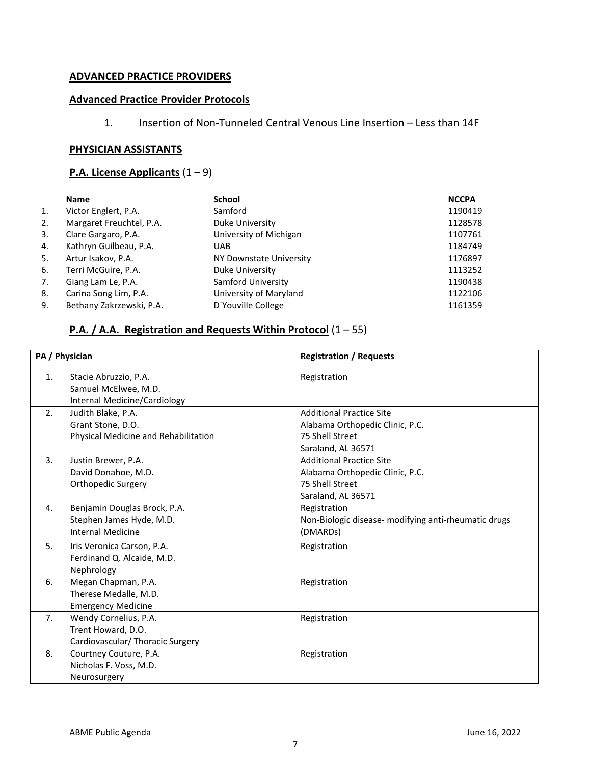# **ADVANCED PRACTICE PROVIDERS**

# **Advanced Practice Provider Protocols**

1. Insertion of Non-Tunneled Central Venous Line Insertion – Less than 14F

# **PHYSICIAN ASSISTANTS**

# **P.A. License Applicants** (1 – 9)

|    | Name                     | <b>School</b>           | <b>NCCPA</b> |
|----|--------------------------|-------------------------|--------------|
| 1. | Victor Englert, P.A.     | Samford                 | 1190419      |
| 2. | Margaret Freuchtel, P.A. | Duke University         | 1128578      |
| 3. | Clare Gargaro, P.A.      | University of Michigan  | 1107761      |
| 4. | Kathryn Guilbeau, P.A.   | <b>UAB</b>              | 1184749      |
| 5. | Artur Isakov, P.A.       | NY Downstate University | 1176897      |
| 6. | Terri McGuire, P.A.      | Duke University         | 1113252      |
| 7. | Giang Lam Le, P.A.       | Samford University      | 1190438      |
| 8. | Carina Song Lim, P.A.    | University of Maryland  | 1122106      |
| 9. | Bethany Zakrzewski, P.A. | D'Youville College      | 1161359      |

# **P.A. / A.A. Registration and Requests Within Protocol** (1 – 55)

|    | PA / Physician                                                                       | <b>Registration / Requests</b>                                                                              |
|----|--------------------------------------------------------------------------------------|-------------------------------------------------------------------------------------------------------------|
| 1. | Stacie Abruzzio, P.A.<br>Samuel McElwee, M.D.<br>Internal Medicine/Cardiology        | Registration                                                                                                |
| 2. | Judith Blake, P.A.<br>Grant Stone, D.O.<br>Physical Medicine and Rehabilitation      | <b>Additional Practice Site</b><br>Alabama Orthopedic Clinic, P.C.<br>75 Shell Street<br>Saraland, AL 36571 |
| 3. | Justin Brewer, P.A.<br>David Donahoe, M.D.<br>Orthopedic Surgery                     | <b>Additional Practice Site</b><br>Alabama Orthopedic Clinic, P.C.<br>75 Shell Street<br>Saraland, AL 36571 |
| 4. | Benjamin Douglas Brock, P.A.<br>Stephen James Hyde, M.D.<br><b>Internal Medicine</b> | Registration<br>Non-Biologic disease- modifying anti-rheumatic drugs<br>(DMARD <sub>s</sub> )               |
| 5. | Iris Veronica Carson, P.A.<br>Ferdinand Q. Alcaide, M.D.<br>Nephrology               | Registration                                                                                                |
| 6. | Megan Chapman, P.A.<br>Therese Medalle, M.D.<br><b>Emergency Medicine</b>            | Registration                                                                                                |
| 7. | Wendy Cornelius, P.A.<br>Trent Howard, D.O.<br>Cardiovascular/ Thoracic Surgery      | Registration                                                                                                |
| 8. | Courtney Couture, P.A.<br>Nicholas F. Voss, M.D.<br>Neurosurgery                     | Registration                                                                                                |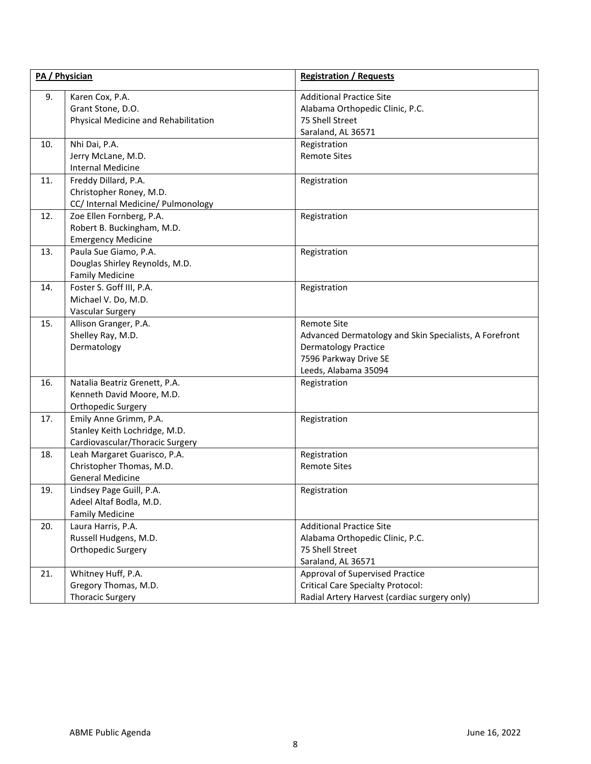| PA / Physician |                                                                                            | <b>Registration / Requests</b>                                                                                                                               |
|----------------|--------------------------------------------------------------------------------------------|--------------------------------------------------------------------------------------------------------------------------------------------------------------|
| 9.             | Karen Cox, P.A.<br>Grant Stone, D.O.<br>Physical Medicine and Rehabilitation               | <b>Additional Practice Site</b><br>Alabama Orthopedic Clinic, P.C.<br>75 Shell Street<br>Saraland, AL 36571                                                  |
| 10.            | Nhi Dai, P.A.<br>Jerry McLane, M.D.<br><b>Internal Medicine</b>                            | Registration<br><b>Remote Sites</b>                                                                                                                          |
| 11.            | Freddy Dillard, P.A.<br>Christopher Roney, M.D.<br>CC/ Internal Medicine/ Pulmonology      | Registration                                                                                                                                                 |
| 12.            | Zoe Ellen Fornberg, P.A.<br>Robert B. Buckingham, M.D.<br><b>Emergency Medicine</b>        | Registration                                                                                                                                                 |
| 13.            | Paula Sue Giamo, P.A.<br>Douglas Shirley Reynolds, M.D.<br><b>Family Medicine</b>          | Registration                                                                                                                                                 |
| 14.            | Foster S. Goff III, P.A.<br>Michael V. Do, M.D.<br>Vascular Surgery                        | Registration                                                                                                                                                 |
| 15.            | Allison Granger, P.A.<br>Shelley Ray, M.D.<br>Dermatology                                  | <b>Remote Site</b><br>Advanced Dermatology and Skin Specialists, A Forefront<br><b>Dermatology Practice</b><br>7596 Parkway Drive SE<br>Leeds, Alabama 35094 |
| 16.            | Natalia Beatriz Grenett, P.A.<br>Kenneth David Moore, M.D.<br>Orthopedic Surgery           | Registration                                                                                                                                                 |
| 17.            | Emily Anne Grimm, P.A.<br>Stanley Keith Lochridge, M.D.<br>Cardiovascular/Thoracic Surgery | Registration                                                                                                                                                 |
| 18.            | Leah Margaret Guarisco, P.A.<br>Christopher Thomas, M.D.<br><b>General Medicine</b>        | Registration<br><b>Remote Sites</b>                                                                                                                          |
| 19.            | Lindsey Page Guill, P.A.<br>Adeel Altaf Bodla, M.D.<br><b>Family Medicine</b>              | Registration                                                                                                                                                 |
| 20.            | Laura Harris, P.A.<br>Russell Hudgens, M.D.<br>Orthopedic Surgery                          | <b>Additional Practice Site</b><br>Alabama Orthopedic Clinic, P.C.<br>75 Shell Street<br>Saraland, AL 36571                                                  |
| 21.            | Whitney Huff, P.A.<br>Gregory Thomas, M.D.<br><b>Thoracic Surgery</b>                      | Approval of Supervised Practice<br><b>Critical Care Specialty Protocol:</b><br>Radial Artery Harvest (cardiac surgery only)                                  |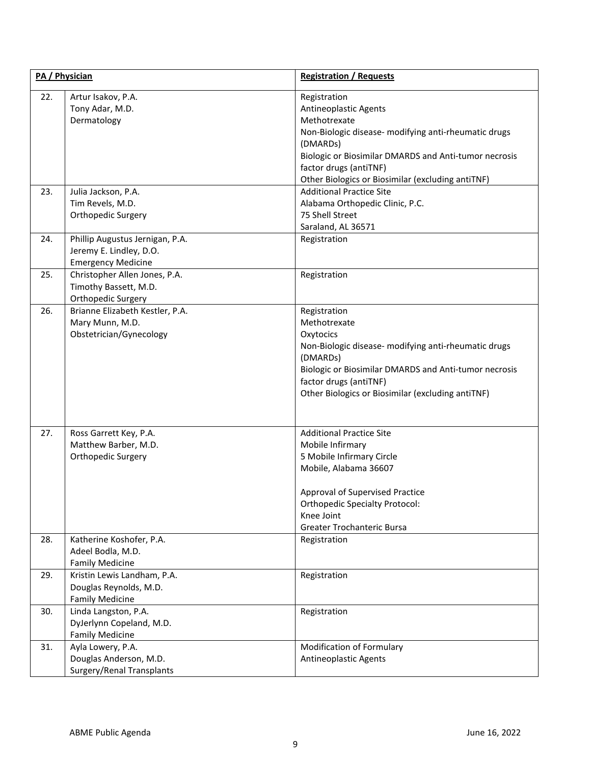| PA / Physician |                                                                                         | <b>Registration / Requests</b>                                                                                                                                                                                                                                    |
|----------------|-----------------------------------------------------------------------------------------|-------------------------------------------------------------------------------------------------------------------------------------------------------------------------------------------------------------------------------------------------------------------|
| 22.            | Artur Isakov, P.A.<br>Tony Adar, M.D.<br>Dermatology                                    | Registration<br>Antineoplastic Agents<br>Methotrexate<br>Non-Biologic disease- modifying anti-rheumatic drugs<br>(DMARDs)<br>Biologic or Biosimilar DMARDS and Anti-tumor necrosis<br>factor drugs (antiTNF)<br>Other Biologics or Biosimilar (excluding antiTNF) |
| 23.            | Julia Jackson, P.A.<br>Tim Revels, M.D.<br>Orthopedic Surgery                           | <b>Additional Practice Site</b><br>Alabama Orthopedic Clinic, P.C.<br>75 Shell Street<br>Saraland, AL 36571                                                                                                                                                       |
| 24.            | Phillip Augustus Jernigan, P.A.<br>Jeremy E. Lindley, D.O.<br><b>Emergency Medicine</b> | Registration                                                                                                                                                                                                                                                      |
| 25.            | Christopher Allen Jones, P.A.<br>Timothy Bassett, M.D.<br>Orthopedic Surgery            | Registration                                                                                                                                                                                                                                                      |
| 26.            | Brianne Elizabeth Kestler, P.A.<br>Mary Munn, M.D.<br>Obstetrician/Gynecology           | Registration<br>Methotrexate<br>Oxytocics<br>Non-Biologic disease- modifying anti-rheumatic drugs<br>(DMARDs)<br>Biologic or Biosimilar DMARDS and Anti-tumor necrosis<br>factor drugs (antiTNF)<br>Other Biologics or Biosimilar (excluding antiTNF)             |
| 27.            | Ross Garrett Key, P.A.<br>Matthew Barber, M.D.<br>Orthopedic Surgery                    | <b>Additional Practice Site</b><br>Mobile Infirmary<br>5 Mobile Infirmary Circle<br>Mobile, Alabama 36607<br>Approval of Supervised Practice<br><b>Orthopedic Specialty Protocol:</b><br>Knee Joint<br>Greater Trochanteric Bursa                                 |
| 28.            | Katherine Koshofer, P.A.<br>Adeel Bodla, M.D.<br><b>Family Medicine</b>                 | Registration                                                                                                                                                                                                                                                      |
| 29.            | Kristin Lewis Landham, P.A.<br>Douglas Reynolds, M.D.<br><b>Family Medicine</b>         | Registration                                                                                                                                                                                                                                                      |
| 30.            | Linda Langston, P.A.<br>DyJerlynn Copeland, M.D.<br><b>Family Medicine</b>              | Registration                                                                                                                                                                                                                                                      |
| 31.            | Ayla Lowery, P.A.<br>Douglas Anderson, M.D.<br>Surgery/Renal Transplants                | Modification of Formulary<br><b>Antineoplastic Agents</b>                                                                                                                                                                                                         |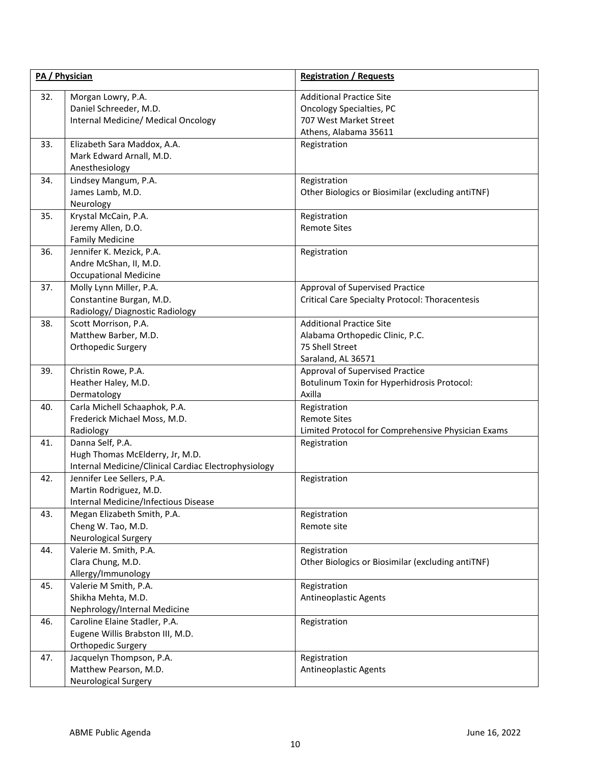| PA / Physician |                                                                                                             | <b>Registration / Requests</b>                                                                                        |  |
|----------------|-------------------------------------------------------------------------------------------------------------|-----------------------------------------------------------------------------------------------------------------------|--|
| 32.            | Morgan Lowry, P.A.<br>Daniel Schreeder, M.D.<br>Internal Medicine/ Medical Oncology                         | <b>Additional Practice Site</b><br><b>Oncology Specialties, PC</b><br>707 West Market Street<br>Athens, Alabama 35611 |  |
| 33.            | Elizabeth Sara Maddox, A.A.<br>Mark Edward Arnall, M.D.<br>Anesthesiology                                   | Registration                                                                                                          |  |
| 34.            | Lindsey Mangum, P.A.<br>James Lamb, M.D.<br>Neurology                                                       | Registration<br>Other Biologics or Biosimilar (excluding antiTNF)                                                     |  |
| 35.            | Krystal McCain, P.A.<br>Jeremy Allen, D.O.<br><b>Family Medicine</b>                                        | Registration<br><b>Remote Sites</b>                                                                                   |  |
| 36.            | Jennifer K. Mezick, P.A.<br>Andre McShan, II, M.D.<br><b>Occupational Medicine</b>                          | Registration                                                                                                          |  |
| 37.            | Molly Lynn Miller, P.A.<br>Constantine Burgan, M.D.<br>Radiology/ Diagnostic Radiology                      | Approval of Supervised Practice<br><b>Critical Care Specialty Protocol: Thoracentesis</b>                             |  |
| 38.            | Scott Morrison, P.A.<br>Matthew Barber, M.D.<br>Orthopedic Surgery                                          | <b>Additional Practice Site</b><br>Alabama Orthopedic Clinic, P.C.<br>75 Shell Street<br>Saraland, AL 36571           |  |
| 39.            | Christin Rowe, P.A.<br>Heather Haley, M.D.<br>Dermatology                                                   | Approval of Supervised Practice<br>Botulinum Toxin for Hyperhidrosis Protocol:<br>Axilla                              |  |
| 40.            | Carla Michell Schaaphok, P.A.<br>Frederick Michael Moss, M.D.<br>Radiology                                  | Registration<br><b>Remote Sites</b><br>Limited Protocol for Comprehensive Physician Exams                             |  |
| 41.            | Danna Self, P.A.<br>Hugh Thomas McElderry, Jr, M.D.<br>Internal Medicine/Clinical Cardiac Electrophysiology | Registration                                                                                                          |  |
| 42.            | Jennifer Lee Sellers, P.A.<br>Martin Rodriguez, M.D.<br>Internal Medicine/Infectious Disease                | Registration                                                                                                          |  |
| 43.            | Megan Elizabeth Smith, P.A.<br>Cheng W. Tao, M.D.<br><b>Neurological Surgery</b>                            | Registration<br>Remote site                                                                                           |  |
| 44.            | Valerie M. Smith, P.A.<br>Clara Chung, M.D.<br>Allergy/Immunology                                           | Registration<br>Other Biologics or Biosimilar (excluding antiTNF)                                                     |  |
| 45.            | Valerie M Smith, P.A.<br>Shikha Mehta, M.D.<br>Nephrology/Internal Medicine                                 | Registration<br><b>Antineoplastic Agents</b>                                                                          |  |
| 46.            | Caroline Elaine Stadler, P.A.<br>Eugene Willis Brabston III, M.D.<br>Orthopedic Surgery                     | Registration                                                                                                          |  |
| 47.            | Jacquelyn Thompson, P.A.<br>Matthew Pearson, M.D.<br><b>Neurological Surgery</b>                            | Registration<br>Antineoplastic Agents                                                                                 |  |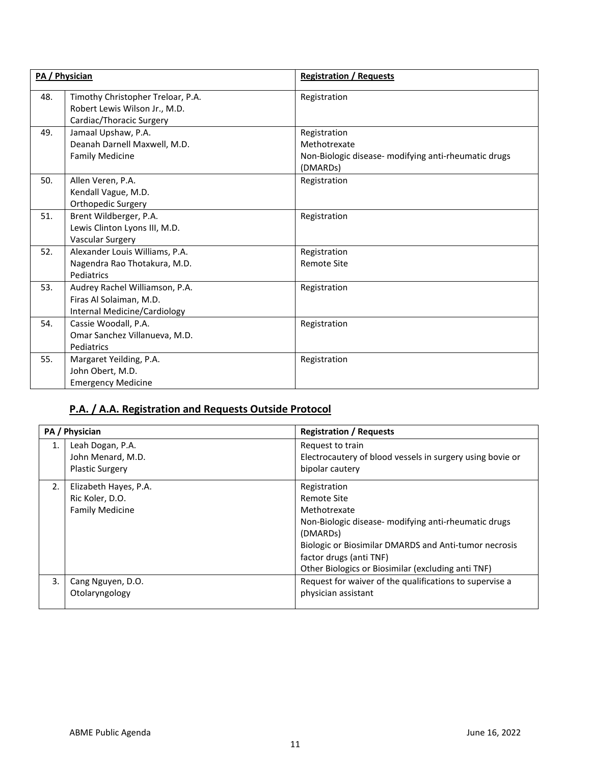|     | PA / Physician                                                                                 | <b>Registration / Requests</b>                                                                                |
|-----|------------------------------------------------------------------------------------------------|---------------------------------------------------------------------------------------------------------------|
| 48. | Timothy Christopher Treloar, P.A.<br>Robert Lewis Wilson Jr., M.D.<br>Cardiac/Thoracic Surgery | Registration                                                                                                  |
| 49. | Jamaal Upshaw, P.A.<br>Deanah Darnell Maxwell, M.D.<br><b>Family Medicine</b>                  | Registration<br>Methotrexate<br>Non-Biologic disease- modifying anti-rheumatic drugs<br>(DMARD <sub>s</sub> ) |
| 50. | Allen Veren, P.A.<br>Kendall Vague, M.D.<br>Orthopedic Surgery                                 | Registration                                                                                                  |
| 51. | Brent Wildberger, P.A.<br>Lewis Clinton Lyons III, M.D.<br>Vascular Surgery                    | Registration                                                                                                  |
| 52. | Alexander Louis Williams, P.A.<br>Nagendra Rao Thotakura, M.D.<br>Pediatrics                   | Registration<br><b>Remote Site</b>                                                                            |
| 53. | Audrey Rachel Williamson, P.A.<br>Firas Al Solaiman, M.D.<br>Internal Medicine/Cardiology      | Registration                                                                                                  |
| 54. | Cassie Woodall, P.A.<br>Omar Sanchez Villanueva, M.D.<br>Pediatrics                            | Registration                                                                                                  |
| 55. | Margaret Yeilding, P.A.<br>John Obert, M.D.<br><b>Emergency Medicine</b>                       | Registration                                                                                                  |

# **P.A. / A.A. Registration and Requests Outside Protocol**

| PA / Physician |                        | <b>Registration / Requests</b>                               |
|----------------|------------------------|--------------------------------------------------------------|
| 1.             | Leah Dogan, P.A.       | Request to train                                             |
|                | John Menard, M.D.      | Electrocautery of blood vessels in surgery using bovie or    |
|                | <b>Plastic Surgery</b> | bipolar cautery                                              |
| 2.             | Elizabeth Hayes, P.A.  | Registration                                                 |
|                | Ric Koler, D.O.        | Remote Site                                                  |
|                | <b>Family Medicine</b> | Methotrexate                                                 |
|                |                        | Non-Biologic disease- modifying anti-rheumatic drugs         |
|                |                        | (DMARDs)                                                     |
|                |                        | <b>Biologic or Biosimilar DMARDS and Anti-tumor necrosis</b> |
|                |                        | factor drugs (anti TNF)                                      |
|                |                        | Other Biologics or Biosimilar (excluding anti TNF)           |
| 3.             | Cang Nguyen, D.O.      | Request for waiver of the qualifications to supervise a      |
|                | Otolaryngology         | physician assistant                                          |
|                |                        |                                                              |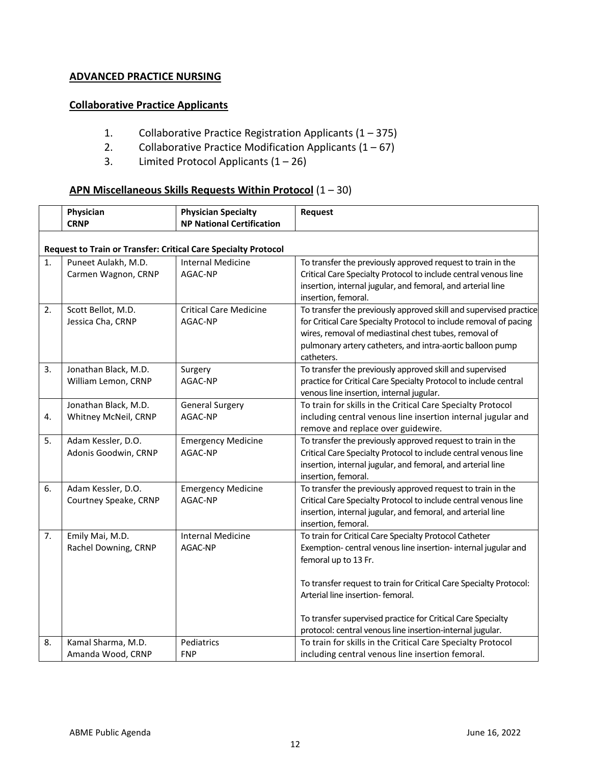# **ADVANCED PRACTICE NURSING**

## **Collaborative Practice Applicants**

- 1. Collaborative Practice Registration Applicants (1 375)
- 2. Collaborative Practice Modification Applicants  $(1 67)$
- 3. Limited Protocol Applicants  $(1 26)$

# **APN Miscellaneous Skills Requests Within Protocol** (1 – 30)

|    | Physician                                                             | <b>Physician Specialty</b>               | Request                                                                                                                                                                                                                                                                    |  |  |
|----|-----------------------------------------------------------------------|------------------------------------------|----------------------------------------------------------------------------------------------------------------------------------------------------------------------------------------------------------------------------------------------------------------------------|--|--|
|    | <b>CRNP</b>                                                           | <b>NP National Certification</b>         |                                                                                                                                                                                                                                                                            |  |  |
|    | <b>Request to Train or Transfer: Critical Care Specialty Protocol</b> |                                          |                                                                                                                                                                                                                                                                            |  |  |
| 1. | Puneet Aulakh, M.D.<br>Carmen Wagnon, CRNP                            | <b>Internal Medicine</b><br>AGAC-NP      | To transfer the previously approved request to train in the<br>Critical Care Specialty Protocol to include central venous line<br>insertion, internal jugular, and femoral, and arterial line<br>insertion, femoral.                                                       |  |  |
| 2. | Scott Bellot, M.D.<br>Jessica Cha, CRNP                               | <b>Critical Care Medicine</b><br>AGAC-NP | To transfer the previously approved skill and supervised practice<br>for Critical Care Specialty Protocol to include removal of pacing<br>wires, removal of mediastinal chest tubes, removal of<br>pulmonary artery catheters, and intra-aortic balloon pump<br>catheters. |  |  |
| 3. | Jonathan Black, M.D.<br>William Lemon, CRNP                           | Surgery<br>AGAC-NP                       | To transfer the previously approved skill and supervised<br>practice for Critical Care Specialty Protocol to include central<br>venous line insertion, internal jugular.                                                                                                   |  |  |
| 4. | Jonathan Black, M.D.<br>Whitney McNeil, CRNP                          | <b>General Surgery</b><br>AGAC-NP        | To train for skills in the Critical Care Specialty Protocol<br>including central venous line insertion internal jugular and<br>remove and replace over guidewire.                                                                                                          |  |  |
| 5. | Adam Kessler, D.O.<br>Adonis Goodwin, CRNP                            | <b>Emergency Medicine</b><br>AGAC-NP     | To transfer the previously approved request to train in the<br>Critical Care Specialty Protocol to include central venous line<br>insertion, internal jugular, and femoral, and arterial line<br>insertion, femoral.                                                       |  |  |
| 6. | Adam Kessler, D.O.<br>Courtney Speake, CRNP                           | <b>Emergency Medicine</b><br>AGAC-NP     | To transfer the previously approved request to train in the<br>Critical Care Specialty Protocol to include central venous line<br>insertion, internal jugular, and femoral, and arterial line<br>insertion, femoral.                                                       |  |  |
| 7. | Emily Mai, M.D.<br>Rachel Downing, CRNP                               | <b>Internal Medicine</b><br>AGAC-NP      | To train for Critical Care Specialty Protocol Catheter<br>Exemption-central venous line insertion-internal jugular and<br>femoral up to 13 Fr.                                                                                                                             |  |  |
|    |                                                                       |                                          | To transfer request to train for Critical Care Specialty Protocol:<br>Arterial line insertion- femoral.                                                                                                                                                                    |  |  |
|    |                                                                       |                                          | To transfer supervised practice for Critical Care Specialty<br>protocol: central venous line insertion-internal jugular.                                                                                                                                                   |  |  |
| 8. | Kamal Sharma, M.D.<br>Amanda Wood, CRNP                               | Pediatrics<br><b>FNP</b>                 | To train for skills in the Critical Care Specialty Protocol<br>including central venous line insertion femoral.                                                                                                                                                            |  |  |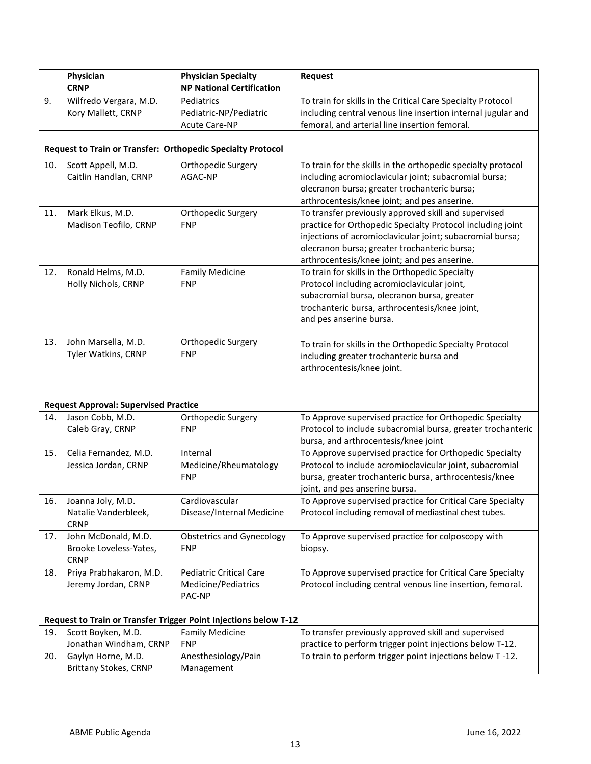|     | Physician<br><b>CRNP</b>                                    | <b>Physician Specialty</b><br><b>NP National Certification</b>   | Request                                                                                                             |  |
|-----|-------------------------------------------------------------|------------------------------------------------------------------|---------------------------------------------------------------------------------------------------------------------|--|
| 9.  | Wilfredo Vergara, M.D.                                      | Pediatrics                                                       | To train for skills in the Critical Care Specialty Protocol                                                         |  |
|     | Kory Mallett, CRNP                                          | Pediatric-NP/Pediatric                                           | including central venous line insertion internal jugular and                                                        |  |
|     |                                                             | <b>Acute Care-NP</b>                                             | femoral, and arterial line insertion femoral.                                                                       |  |
|     |                                                             |                                                                  |                                                                                                                     |  |
|     | Request to Train or Transfer: Orthopedic Specialty Protocol |                                                                  |                                                                                                                     |  |
| 10. | Scott Appell, M.D.                                          | Orthopedic Surgery                                               | To train for the skills in the orthopedic specialty protocol                                                        |  |
|     | Caitlin Handlan, CRNP                                       | AGAC-NP                                                          | including acromioclavicular joint; subacromial bursa;                                                               |  |
|     |                                                             |                                                                  | olecranon bursa; greater trochanteric bursa;                                                                        |  |
|     |                                                             |                                                                  | arthrocentesis/knee joint; and pes anserine.                                                                        |  |
| 11. | Mark Elkus, M.D.                                            | Orthopedic Surgery                                               | To transfer previously approved skill and supervised                                                                |  |
|     | Madison Teofilo, CRNP                                       | <b>FNP</b>                                                       | practice for Orthopedic Specialty Protocol including joint                                                          |  |
|     |                                                             |                                                                  | injections of acromioclavicular joint; subacromial bursa;                                                           |  |
|     |                                                             |                                                                  | olecranon bursa; greater trochanteric bursa;                                                                        |  |
|     |                                                             |                                                                  | arthrocentesis/knee joint; and pes anserine.                                                                        |  |
| 12. | Ronald Helms, M.D.                                          | <b>Family Medicine</b>                                           | To train for skills in the Orthopedic Specialty                                                                     |  |
|     | Holly Nichols, CRNP                                         | <b>FNP</b>                                                       | Protocol including acromioclavicular joint,                                                                         |  |
|     |                                                             |                                                                  | subacromial bursa, olecranon bursa, greater                                                                         |  |
|     |                                                             |                                                                  | trochanteric bursa, arthrocentesis/knee joint,                                                                      |  |
|     |                                                             |                                                                  | and pes anserine bursa.                                                                                             |  |
| 13. | John Marsella, M.D.                                         | Orthopedic Surgery                                               | To train for skills in the Orthopedic Specialty Protocol                                                            |  |
|     | Tyler Watkins, CRNP                                         | <b>FNP</b>                                                       | including greater trochanteric bursa and                                                                            |  |
|     |                                                             |                                                                  | arthrocentesis/knee joint.                                                                                          |  |
|     |                                                             |                                                                  |                                                                                                                     |  |
|     |                                                             |                                                                  |                                                                                                                     |  |
|     | <b>Request Approval: Supervised Practice</b>                |                                                                  |                                                                                                                     |  |
| 14. | Jason Cobb, M.D.                                            | Orthopedic Surgery<br><b>FNP</b>                                 | To Approve supervised practice for Orthopedic Specialty                                                             |  |
|     | Caleb Gray, CRNP                                            |                                                                  | Protocol to include subacromial bursa, greater trochanteric                                                         |  |
|     | Celia Fernandez, M.D.                                       | Internal                                                         | bursa, and arthrocentesis/knee joint                                                                                |  |
| 15. |                                                             |                                                                  | To Approve supervised practice for Orthopedic Specialty<br>Protocol to include acromioclavicular joint, subacromial |  |
|     | Jessica Jordan, CRNP                                        | Medicine/Rheumatology<br><b>FNP</b>                              |                                                                                                                     |  |
|     |                                                             |                                                                  | bursa, greater trochanteric bursa, arthrocentesis/knee<br>joint, and pes anserine bursa.                            |  |
| 16. | Joanna Joly, M.D.                                           | Cardiovascular                                                   | To Approve supervised practice for Critical Care Specialty                                                          |  |
|     | Natalie Vanderbleek,                                        | Disease/Internal Medicine                                        | Protocol including removal of mediastinal chest tubes.                                                              |  |
|     | <b>CRNP</b>                                                 |                                                                  |                                                                                                                     |  |
| 17. | John McDonald, M.D.                                         | <b>Obstetrics and Gynecology</b>                                 | To Approve supervised practice for colposcopy with                                                                  |  |
|     | Brooke Loveless-Yates,                                      | <b>FNP</b>                                                       | biopsy.                                                                                                             |  |
|     | <b>CRNP</b>                                                 |                                                                  |                                                                                                                     |  |
| 18. | Priya Prabhakaron, M.D.                                     | <b>Pediatric Critical Care</b>                                   | To Approve supervised practice for Critical Care Specialty                                                          |  |
|     | Jeremy Jordan, CRNP                                         | Medicine/Pediatrics                                              | Protocol including central venous line insertion, femoral.                                                          |  |
|     |                                                             | PAC-NP                                                           |                                                                                                                     |  |
|     |                                                             | Request to Train or Transfer Trigger Point Injections below T-12 |                                                                                                                     |  |
| 19. | Scott Boyken, M.D.                                          | <b>Family Medicine</b>                                           | To transfer previously approved skill and supervised                                                                |  |
|     | Jonathan Windham, CRNP                                      | <b>FNP</b>                                                       | practice to perform trigger point injections below T-12.                                                            |  |
| 20. | Gaylyn Horne, M.D.                                          | Anesthesiology/Pain                                              | To train to perform trigger point injections below T-12.                                                            |  |
|     | <b>Brittany Stokes, CRNP</b>                                | Management                                                       |                                                                                                                     |  |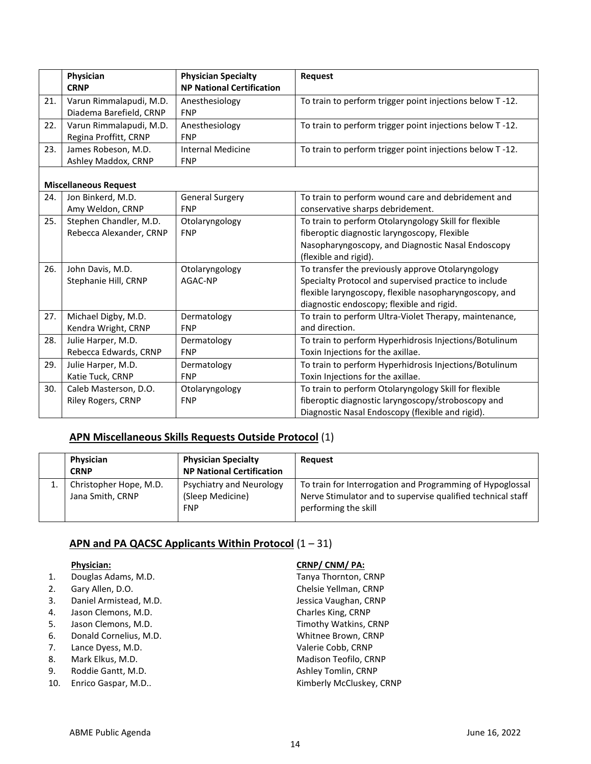|     | Physician<br><b>CRNP</b>                           | <b>Physician Specialty</b><br><b>NP National Certification</b> | Request                                                                                                                                                                                                           |
|-----|----------------------------------------------------|----------------------------------------------------------------|-------------------------------------------------------------------------------------------------------------------------------------------------------------------------------------------------------------------|
| 21. | Varun Rimmalapudi, M.D.<br>Diadema Barefield, CRNP | Anesthesiology<br><b>FNP</b>                                   | To train to perform trigger point injections below T-12.                                                                                                                                                          |
| 22. | Varun Rimmalapudi, M.D.<br>Regina Proffitt, CRNP   | Anesthesiology<br><b>FNP</b>                                   | To train to perform trigger point injections below T-12.                                                                                                                                                          |
| 23. | James Robeson, M.D.<br>Ashley Maddox, CRNP         | <b>Internal Medicine</b><br><b>FNP</b>                         | To train to perform trigger point injections below T-12.                                                                                                                                                          |
|     | <b>Miscellaneous Request</b>                       |                                                                |                                                                                                                                                                                                                   |
| 24. | Jon Binkerd, M.D.<br>Amy Weldon, CRNP              | <b>General Surgery</b><br><b>FNP</b>                           | To train to perform wound care and debridement and<br>conservative sharps debridement.                                                                                                                            |
| 25. | Stephen Chandler, M.D.<br>Rebecca Alexander, CRNP  | Otolaryngology<br><b>FNP</b>                                   | To train to perform Otolaryngology Skill for flexible<br>fiberoptic diagnostic laryngoscopy, Flexible<br>Nasopharyngoscopy, and Diagnostic Nasal Endoscopy<br>(flexible and rigid).                               |
| 26. | John Davis, M.D.<br>Stephanie Hill, CRNP           | Otolaryngology<br>AGAC-NP                                      | To transfer the previously approve Otolaryngology<br>Specialty Protocol and supervised practice to include<br>flexible laryngoscopy, flexible nasopharyngoscopy, and<br>diagnostic endoscopy; flexible and rigid. |
| 27. | Michael Digby, M.D.<br>Kendra Wright, CRNP         | Dermatology<br><b>FNP</b>                                      | To train to perform Ultra-Violet Therapy, maintenance,<br>and direction.                                                                                                                                          |
| 28. | Julie Harper, M.D.<br>Rebecca Edwards, CRNP        | Dermatology<br><b>FNP</b>                                      | To train to perform Hyperhidrosis Injections/Botulinum<br>Toxin Injections for the axillae.                                                                                                                       |
| 29. | Julie Harper, M.D.<br>Katie Tuck, CRNP             | Dermatology<br><b>FNP</b>                                      | To train to perform Hyperhidrosis Injections/Botulinum<br>Toxin Injections for the axillae.                                                                                                                       |
| 30. | Caleb Masterson, D.O.<br>Riley Rogers, CRNP        | Otolaryngology<br><b>FNP</b>                                   | To train to perform Otolaryngology Skill for flexible<br>fiberoptic diagnostic laryngoscopy/stroboscopy and<br>Diagnostic Nasal Endoscopy (flexible and rigid).                                                   |

# **APN Miscellaneous Skills Requests Outside Protocol** (1)

| Physician<br><b>CRNP</b>                   | <b>Physician Specialty</b><br><b>NP National Certification</b> | <b>Request</b>                                                                                                                                   |
|--------------------------------------------|----------------------------------------------------------------|--------------------------------------------------------------------------------------------------------------------------------------------------|
| Christopher Hope, M.D.<br>Jana Smith, CRNP | Psychiatry and Neurology<br>(Sleep Medicine)<br><b>FNP</b>     | To train for Interrogation and Programming of Hypoglossal<br>Nerve Stimulator and to supervise qualified technical staff<br>performing the skill |

# **APN and PA QACSC Applicants Within Protocol** (1 – 31)

- 1. Douglas Adams, M.D. Sand Controller and Tanya Thornton, CRNP
- 
- 3. Daniel Armistead, M.D. Jessica Vaughan, CRNP
- 4. Jason Clemons, M.D. Charles King, CRNP
- 5. Jason Clemons, M.D. Timothy Watkins, CRNP
- 6. Donald Cornelius, M.D. Whitnee Brown, CRNP
- 7. Lance Dyess, M.D. Valerie Cobb, CRNP
- 
- 
- 

## **Physician: CRNP/ CNM/ PA:**

2. Gary Allen, D.O. Chelsie Yellman, CRNP 8. Mark Elkus, M.D. Mathematic CRNP Madison Teofilo, CRNP 9. Roddie Gantt, M.D. **Ashley Tomlin, CRNP** 10. Enrico Gaspar, M.D.. **Accord 10. Intervallation Contract Castle Castle Castle Castle Accord Castle Castle A**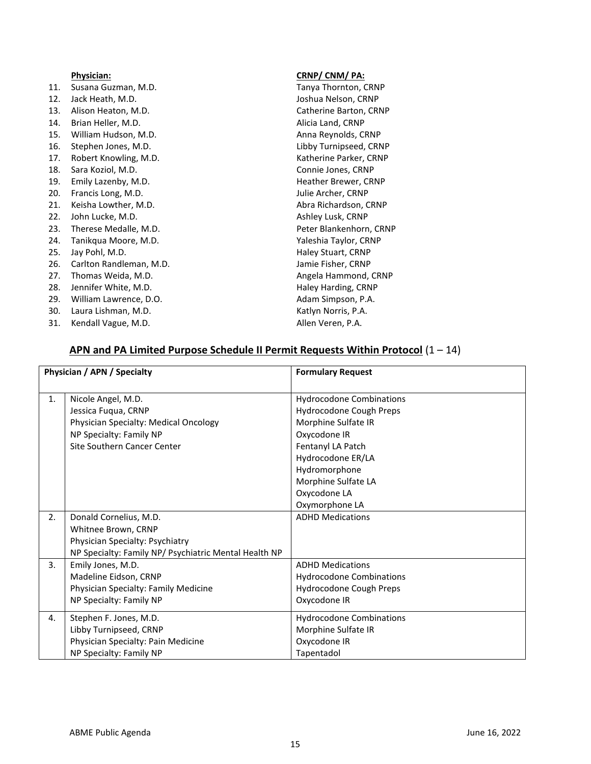|     | <b>Physician:</b>       | <u>CRNP/ CNM/ PA:</u>  |
|-----|-------------------------|------------------------|
| 11. | Susana Guzman, M.D.     | Tanya Thornton, CRNP   |
| 12. | Jack Heath, M.D.        | Joshua Nelson, CRNP    |
| 13. | Alison Heaton, M.D.     | Catherine Barton, CRNP |
| 14. | Brian Heller, M.D.      | Alicia Land, CRNP      |
| 15. | William Hudson, M.D.    | Anna Reynolds, CRNP    |
| 16. | Stephen Jones, M.D.     | Libby Turnipseed, CRNP |
| 17. | Robert Knowling, M.D.   | Katherine Parker, CRNP |
| 18. | Sara Koziol, M.D.       | Connie Jones, CRNP     |
| 19. | Emily Lazenby, M.D.     | Heather Brewer, CRNP   |
| 20. | Francis Long, M.D.      | Julie Archer, CRNP     |
| 21. | Keisha Lowther, M.D.    | Abra Richardson, CRNP  |
| 22. | John Lucke, M.D.        | Ashley Lusk, CRNP      |
| 23. | Therese Medalle, M.D.   | Peter Blankenhorn, CRN |
| 24. | Tanikqua Moore, M.D.    | Yaleshia Taylor, CRNP  |
| 25. | Jay Pohl, M.D.          | Haley Stuart, CRNP     |
| 26. | Carlton Randleman, M.D. | Jamie Fisher, CRNP     |
| 27. | Thomas Weida, M.D.      | Angela Hammond, CRNI   |
| 28. | Jennifer White, M.D.    | Haley Harding, CRNP    |
| 29. | William Lawrence, D.O.  | Adam Simpson, P.A.     |
| 30. | Laura Lishman, M.D.     | Katlyn Norris, P.A.    |

31. Kendall Vague, M.D. **Allen Veren, P.A.** Allen Veren, P.A.

orn, CRNP nd, CRNP<br>CRNP

#### **APN and PA Limited Purpose Schedule II Permit Requests Within Protocol** (1 – 14)

| Physician / APN / Specialty |                                                       | <b>Formulary Request</b>        |
|-----------------------------|-------------------------------------------------------|---------------------------------|
|                             |                                                       |                                 |
| 1.                          | Nicole Angel, M.D.                                    | <b>Hydrocodone Combinations</b> |
|                             | Jessica Fuqua, CRNP                                   | Hydrocodone Cough Preps         |
|                             | Physician Specialty: Medical Oncology                 | Morphine Sulfate IR             |
|                             | NP Specialty: Family NP                               | Oxycodone IR                    |
|                             | Site Southern Cancer Center                           | Fentanyl LA Patch               |
|                             |                                                       | Hydrocodone ER/LA               |
|                             |                                                       | Hydromorphone                   |
|                             |                                                       | Morphine Sulfate LA             |
|                             |                                                       | Oxycodone LA                    |
|                             |                                                       | Oxymorphone LA                  |
| 2.                          | Donald Cornelius, M.D.                                | <b>ADHD Medications</b>         |
|                             | Whitnee Brown, CRNP                                   |                                 |
|                             | Physician Specialty: Psychiatry                       |                                 |
|                             | NP Specialty: Family NP/ Psychiatric Mental Health NP |                                 |
| 3.                          | Emily Jones, M.D.                                     | <b>ADHD Medications</b>         |
|                             | Madeline Eidson, CRNP                                 | <b>Hydrocodone Combinations</b> |
|                             | Physician Specialty: Family Medicine                  | Hydrocodone Cough Preps         |
|                             | NP Specialty: Family NP                               | Oxycodone IR                    |
| 4.                          | Stephen F. Jones, M.D.                                | <b>Hydrocodone Combinations</b> |
|                             | Libby Turnipseed, CRNP                                | Morphine Sulfate IR             |
|                             | Physician Specialty: Pain Medicine                    | Oxycodone IR                    |
|                             | NP Specialty: Family NP                               | Tapentadol                      |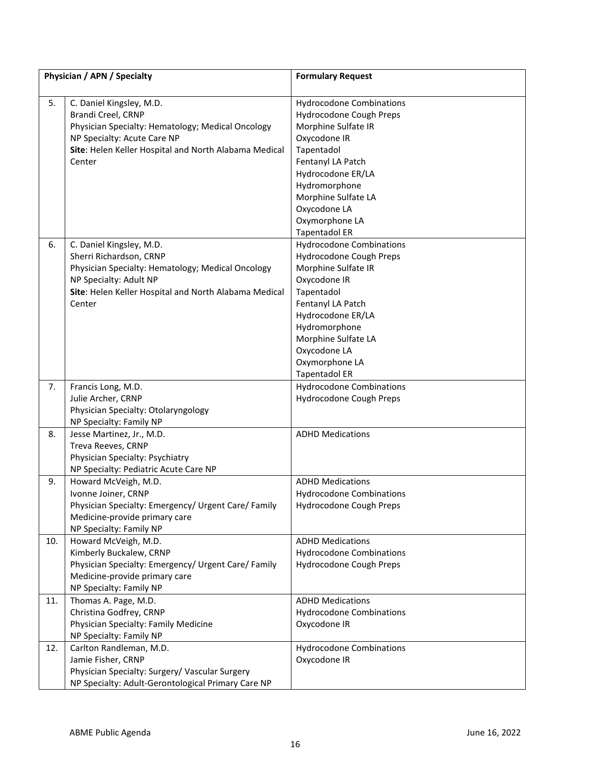|     | Physician / APN / Specialty                                                                                                                                                                           | <b>Formulary Request</b>                                                                                                                                                                                                                                    |
|-----|-------------------------------------------------------------------------------------------------------------------------------------------------------------------------------------------------------|-------------------------------------------------------------------------------------------------------------------------------------------------------------------------------------------------------------------------------------------------------------|
| 5.  | C. Daniel Kingsley, M.D.<br>Brandi Creel, CRNP<br>Physician Specialty: Hematology; Medical Oncology<br>NP Specialty: Acute Care NP<br>Site: Helen Keller Hospital and North Alabama Medical<br>Center | <b>Hydrocodone Combinations</b><br>Hydrocodone Cough Preps<br>Morphine Sulfate IR<br>Oxycodone IR<br>Tapentadol<br>Fentanyl LA Patch<br>Hydrocodone ER/LA<br>Hydromorphone<br>Morphine Sulfate LA<br>Oxycodone LA<br>Oxymorphone LA<br><b>Tapentadol ER</b> |
| 6.  | C. Daniel Kingsley, M.D.<br>Sherri Richardson, CRNP<br>Physician Specialty: Hematology; Medical Oncology<br>NP Specialty: Adult NP<br>Site: Helen Keller Hospital and North Alabama Medical<br>Center | <b>Hydrocodone Combinations</b><br>Hydrocodone Cough Preps<br>Morphine Sulfate IR<br>Oxycodone IR<br>Tapentadol<br>Fentanyl LA Patch<br>Hydrocodone ER/LA<br>Hydromorphone<br>Morphine Sulfate LA<br>Oxycodone LA<br>Oxymorphone LA<br><b>Tapentadol ER</b> |
| 7.  | Francis Long, M.D.<br>Julie Archer, CRNP<br>Physician Specialty: Otolaryngology<br>NP Specialty: Family NP                                                                                            | <b>Hydrocodone Combinations</b><br>Hydrocodone Cough Preps                                                                                                                                                                                                  |
| 8.  | Jesse Martinez, Jr., M.D.<br>Treva Reeves, CRNP<br>Physician Specialty: Psychiatry<br>NP Specialty: Pediatric Acute Care NP                                                                           | <b>ADHD Medications</b>                                                                                                                                                                                                                                     |
| 9.  | Howard McVeigh, M.D.<br>Ivonne Joiner, CRNP<br>Physician Specialty: Emergency/ Urgent Care/ Family<br>Medicine-provide primary care<br>NP Specialty: Family NP                                        | <b>ADHD Medications</b><br><b>Hydrocodone Combinations</b><br>Hydrocodone Cough Preps                                                                                                                                                                       |
| 10. | Howard McVeigh, M.D.<br>Kimberly Buckalew, CRNP<br>Physician Specialty: Emergency/ Urgent Care/ Family<br>Medicine-provide primary care<br>NP Specialty: Family NP                                    | <b>ADHD Medications</b><br><b>Hydrocodone Combinations</b><br>Hydrocodone Cough Preps                                                                                                                                                                       |
| 11. | Thomas A. Page, M.D.<br>Christina Godfrey, CRNP<br>Physician Specialty: Family Medicine<br>NP Specialty: Family NP                                                                                    | <b>ADHD Medications</b><br><b>Hydrocodone Combinations</b><br>Oxycodone IR                                                                                                                                                                                  |
| 12. | Carlton Randleman, M.D.<br>Jamie Fisher, CRNP<br>Physician Specialty: Surgery/ Vascular Surgery<br>NP Specialty: Adult-Gerontological Primary Care NP                                                 | <b>Hydrocodone Combinations</b><br>Oxycodone IR                                                                                                                                                                                                             |